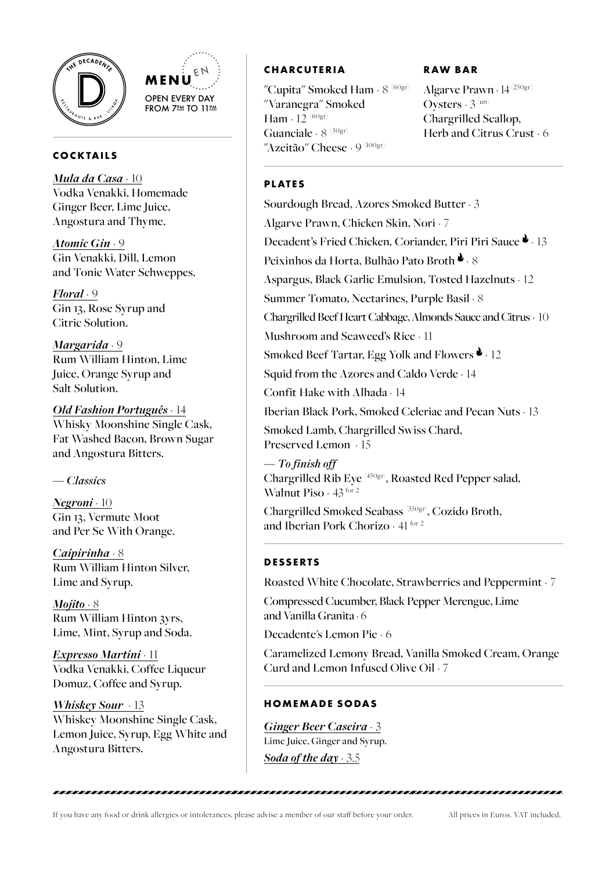



## **COCKTAILS**

*Mula da Casa* · 10 Vodka Venakki, Homemade Ginger Beer, Lime Juice, Angostura and Thyme.

*Atomic Gin* · 9 Gin Venakki, Dill, Lemon and Tonic Water Schweppes.

*Floral* · 9 Gin 13, Rose Syrup and Citric Solution.

*Margarida* · 9 Rum William Hinton, Lime Juice, Orange Syrup and Salt Solution.

*Old Fashion Português* · 14 Whisky Moonshine Single Cask, Fat Washed Bacon, Brown Sugar and Angostura Bitters.

## *— Classics*

*Negroni* · 10 Gin 13, Vermute Moot and Per Se With Orange.

*Caipirinha* · 8 Rum William Hinton Silver, Lime and Syrup.

*Mojito* · 8 Rum William Hinton 3yrs, Lime, Mint, Syrup and Soda.

*Expresso Martini* · 11 Vodka Venakki, Coffee Liqueur Domuz, Coffee and Syrup.

*Whiskey Sour* · 13 Whiskey Moonshine Single Cask, Lemon Juice, Syrup, Egg White and Angostura Bitters.

# **CHARCUTERIA**

"Cupita" Smoked Ham  $\cdot$  8  $^{(60gr)}$ "Varanegra" Smoked Ham  $\cdot$  12  $^{(60gr)}$ Guanciale  $\cdot$  8  $^{(50gr)}$ "Azeitão" Cheese - 9 <sup>(100gr)</sup>

## **RAW BAR**

Algarve Prawn · 14 (250gr) Oysters  $\cdot$  3 (un) Chargrilled Scallop, Herb and Citrus Crust  $\cdot$  6

## **PLATES**

Sourdough Bread, Azores Smoked Butter · 3 Algarve Prawn, Chicken Skin, Nori · 7 Decadent's Fried Chicken, Coriander, Piri Piri Sauce <sup>1</sup>. 13 Peixinhos da Horta, Bulhão Pato Broth  $\bullet$  . 8 Aspargus, Black Garlic Emulsion, Tosted Hazelnuts · 12 Summer Tomato, Nectarines, Purple Basil · 8 Chargrilled Beef Heart Cabbage, Almonds Sauce and Citrus · 10 Mushroom and Seaweed's Rice · 11 Smoked Beef Tartar, Egg Yolk and Flowers  $\bullet$  . 12 Squid from the Azores and Caldo Verde · 14 Confit Hake with Alhada · 14 Iberian Black Pork, Smoked Celeriac and Pecan Nuts · 13 Smoked Lamb, Chargrilled Swiss Chard, Preserved Lemon · 15

*— To finish off* Chargrilled Rib Eye (450gr), Roasted Red Pepper salad, Walnut Piso · 43 for 2

Chargrilled Smoked Seabass (350gr), Cozido Broth, and Iberian Pork Chorizo · 41 for 2

# **DESSERTS**

Roasted White Chocolate, Strawberries and Peppermint · 7

Compressed Cucumber, Black Pepper Merengue, Lime and Vanilla Granita · 6

Decadente's Lemon Pie · 6

Caramelized Lemony Bread, Vanilla Smoked Cream, Orange Curd and Lemon Infused Olive Oil · 7

# **HOMEMADE SODAS**

*Ginger Beer Caseira* · 3 Lime Juice, Ginger and Syrup. *Soda of the day* · 3.5